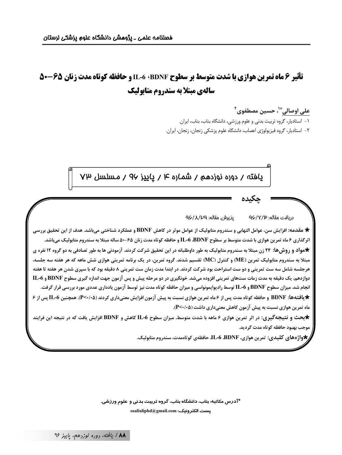# تأثیر 6 ماه تمرین هوازی با شدت متوسط بر سطوح EL-6 ،BDNF و حافظه کوتاه مدت زنان ۶۵-۵۰ سالهی مبتلا به سندروم متابولیک

على اوصاليٌّ'، حسين مصطفوي<sup>٢</sup>

۱ – استادیار، گروه تربیت بدنی و علوم ورزشی، دانشگاه بناب، بناب، ایران. ٢- استادیار، گروه فیزیولوژی اعصاب، دانشگاه علوم پزشکی زنجان، زنجان، ایران.

پاغته / دوره نوزدهم / شماره ۴ / پاييز ۹۷ / مسلسل ۷۳

يذيرش مقاله: QÇ/人/PQ دريافت مقاله: ۹۶/۷/۳

\* مقدمه: افزایش سن، عوامل التهابی و سندروم متابولیک از عوامل موثر در کاهش BDNF و عملکرد شناختی میباشد. هدف از این تحقیق بررسی اثرگذاری ۶ ماه تمرین هوازی با شدت متوسط بر سطوح IL-6 ،BDNF و حافظه کوتاه مدت زنان ۶۵-۵۰ ساله مبتلا به سندروم متابولیک میباشد. \*مواد و روش ها: ۲۴ زن مبتلا به سندروم متابولیک به طور داوطلبانه در این تحقیق شرکت کردند. آزمودنی ها به طور تصادفی به دو گروه ۱۲ نفره ی مبتلا به سندروم متابولیک تمرین (ME) و کنترل (MC) تقسیم شدند. گروه تمرین، در یک برنامه تمرینی هوازی شش ماهه که هر هفته سه جلسه، هرجلسه شامل سه ست تمريني و دو ست استراحت بود شركت كردند. در ابتدا مدت زمان ست تمريني ٨ دقيقه بود كه با سيرى شدن هر هفته تا هفته دوازدهم، یک دقیقه به مدت زمات ستهای تمرینی افزوده میشد. خونگیری در دو مرحله پیش و پس آزمون جهت اندازه گیری سطوح BDNF و IL-6 انجام شد. میزان سطوح BDNF و L-6 توسط رادیوایمونواسی و میزان حافظه کوتاه مدت نیز توسط آزمون یادداری عددی مورد بررسی قرار گرفت. \* یافتهها: BDNF و حافظه کوتاه مدت پس از ۶ ماه تمرین هوازی نسبت به پیش آزمون افزایش معنیداری کردند (P<۰/۰۵). همچنین 1L-6 پس از ۶ ماه تمرین هوازی نسبت به پیش آزمون کاهش معنیداری داشت (۹<۰/۰۵).

\*بحث و نتیجهگیری: در اثر تمرین هوازی ۶ ماهه با شدت متوسط، میزان سطوح IL-6 کاهش و BDNF افزایش یافت که در نتیجه این فرایند موجب بهبود حافظه كوتاه مدت گرديد.

واژههای کلیدی: تمرین هوازی، IL-6 ،BDNF، حافظهی کوتاممدت، سندروم متابولیک. $\bigstar$ 

\*آدرس مکاتبه: بناب، دانشگاه بناب، گروه تربیت بدنی و علوم ورزشی. osalialiphd@gmail.com :يست الكترونيك

۸۸/ يافته، روره نوزدهم، پاييز ۹۶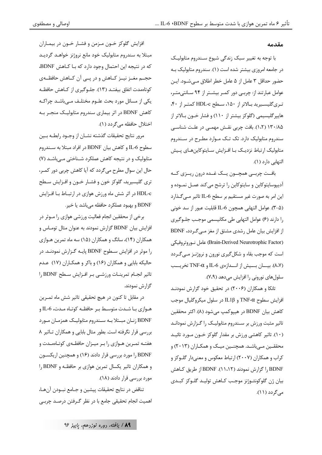#### مقدمه

با توجه به تغییر سبک زندگی شیوع سـندروم متابولیـک در جامعه امروزی بیشتر شده است (۱). سندروم متابولیک بـه حضور حداقل ٣ عامل از ۵ عامل خطر اطلاق مـىشـود. ايـن عوامل عبارتند از: چربے دور کمر بیشتر از ۹۴ سانتی متر، ترىگليسيريد بالاتر از ١٥٠، سطح HDL-c كمتر از ۴٠، هایپر گلیسیمی (گلوکز بیشتر از ۱۱۰) و فشار خــون بــالاتر از ۱۳۰/۸۵ (۱،۲). بافت چربی نقش مهمـی در علـت شناسـی سندروم متابولیک دارد. تک تــک مــوارد مطــرح در ســندروم متابولیک ارتباط نزدیـک بـا افــزایش ســایتوکاینهــای پــیش التهابي دارد (١).

بافت چربسی همچسون يسک غسده درون ريسزي كسه أديپوسايتوكاين و سايتوكاين را ترشح ميكند عمـل نمـوده و این امر به صورت غیر مستقیم بر سطح IL-6 تاثیر مـی گـذارد (∆-٣). عوامل التهابي همچون IL-6 قابليت عبور از سد خوني را دارند (۶) عوامل التهابي طي مكانيسمي موجب جلوگيري از افزایش بیان عامل رشدی مشتق از مغز مـی گـردد، BDNF (Brain-Derived Neurotrophic Factor) عامل نوروتروفيكي است که موجب بقاء و شکل گیری نورون و نروژنـز مـی گـردد (۸،۷). بيسان بسيش از انسدازهي IL-6 و TNF-a تخريسب سلولهای نورونی را افزایش میدهد (۷،۹).

تانکا و همکاران (۲۰۰۶) در تحقیق خود گزارش نمودنـد افزايش سطوح TNF-α و IL1β در سلول ميكروگليال موجب كاهش بيان BDNF در هيپوكمپ مي شود (٨). اكثر محققين تاثیر مثبت ورزش بر سـندروم متابولیـک را گـزارش نمودانـد (۱۰). تاثیر کاهشی ورزش بر مقدار گلوکز خــون مــورد تائیــد محققـین مـی باشـد. همچنـین میـک و همکـاران (۲۰۱۳) و کراب و همکاران (۲۰۰۷) ارتباط معکوس و معنیدار گلـوکز و I, BDNF ا گزارش نمودند (۱۱،۱۲). BDNF از طریق کـاهش بيان ژن گلوكونئــوژنز موجـب كــاهش توليــد گلــوكز كبــدى مے گردد (۱۱).

افزايش گلوكز خــون مــزمن و فشــار خــون در بيمــاران مبتلا به سندروم متابوليک خود مانع نروژنز خواهـد گرديـد كه در نتيجه اين احتمال وجود دارد كه بـا كـاهش BDNF، حجــم مغــز نيــز كــاهش و در پــي آن كــاهش حافظــهي کوتاهمدت اتفاق بیفتـد (١٣). جلــوگیری از کــاهش حافظــه یکی از مسائل مورد بحث علـوم مختلـف مـیباشـد چراکـه کاهش BDNF در اثر بیماری سندروم متابولیک منجـر بـه اختلال حافظه مي گردد (١).

مرور نتايج تحقيقات گذشته نشـان از وجـود رابطـه بـين سطوح IL-6 و كاهش بيان BDNF در افراد مبتلا به سـندروم متابولیک و در نتیجه کاهش عملکرد شـناختی مـی.اشـد (۷) حال این سوال مطرح می گردد که آیا کاهش چربی دور کمـر، تری گلیسیرید، گلوکز خون و فشـار خــون و افــزایش ســطح HDL-c در اثر شش ماه ورزش هوازی در ارتبـاط بـا افـزایش BDNF و بهبود عملکرد حافظه می باشد یا خیر.

برخی از محققین انجام فعالیت ورزشی هوازی را مــوثر در افزایش بیان BDNF گزارش نمودند به عنوان مثال توماس و همکاران (۱۴)، سانگ و همکاران (۱۵) سه ماه تمرین هـوازي را موثر در افزایش سطوح BDNF پایـه گـزارش نمودنـد. در حالیکه بابایی و همکاران (۱۶) و باکر و همکـاران (۱۷) عـدم تاثير انجـام تمرينـات ورزشـى بـر افـزايش سـطح BDNF را گزارش نمودند.

در مقابل تا کنون در هیچ تحقیقی تاثیر شش ماه تمـرین هـوازي بــا شــدت متوســط بــر حافظــه كوتــاه مــدت، IL-6 و BDNF زنـان مبـتلا بـه سـندروم متابوليـك همزمـان مـورد بررسی قرار نگرفته است. بطور مثال بابایی و همکاران تاثیر ۸ هفتـه تمـرين هـوازي را بـر ميـزان حافظـهي كوتـاهمـدت و BDNF را مورد بررسي قرار دادند (۱۶) و همچنين اريكسـون و همكاران تاثير يكسال تمرين هوازي بر حافظه و BDNF را مورد بررسي قرار دادند (١٨).

تناقض در نتايج تحقيقات پيشين و جـامع نبــودن آنهـا، اهمیت انجام تحقیقی جامع با در نظر گـرفتن درصـد چربـی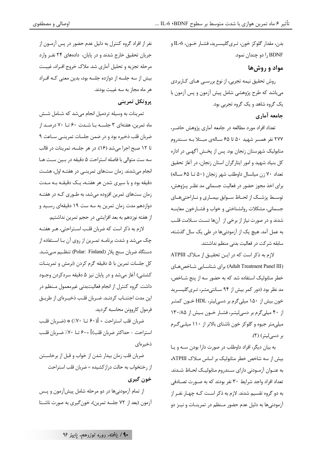ېدن، مقدار گلوکز خون، تـريگليسـريد، فشــار خــون، LL-6 و BDNF را دو چندان نمود.

مواد و روش ها

روش تحقیق نیمه تجربی، از نوع بررسـی هـای کـاربردی میباشد که طرح پژوهشی شامل پیش آزمون و پس آزمون با یک گروه شاهد و یک گروه تجربی بود.

جامعه آماري

تعداد افراد مورد مطالعه در جامعه آماری پژوهش حاضـر، ۲۷۷ نفر همسر شهید ۵۰ تا ۶۵ سـالهی مبـتلا بـه سـندروم متابولیک شهرستان زنجان بود. پس از پخـش آگهـی در اداره کل بنیاد شهید و امور ایثارگران استان زنجان، در آغاز تحقیق تعداد ٧٠ زن ميانسال داوطلب شهر زنجان (۵٠ تـا ۶۵ سـاله) برای اخذ مجوز حضور در فعالیت جسمانی مد نظـر پـژوهش، توسـط پزشـك از لحـاظ سـوابق بيمـاري و نـاراحتىهـاي جسماني، مشكلات روانشناختي و خواب و فشـارخون معاينــه شدند و در صورت نیاز از برخی از آنها تست سلامت قلب به عمل آمد. هیچ یک از آزمودنیها در طی یک سال گذشته، سابقه شرکت در فعالیت بدنی منظم نداشتند.

لازم به ذکر است که در ایـن تحقیـق از مـلاک ATPIII (Adult Treatment Panel III) برای شناسایی شاخص های خطر متابولیک استفاده شد که به حضور سه از پنج شـاخص، مد نظر بود (دور کمر بیش از ۹۴ سـانتیمتـر، تـری گلیسـرید خون بیش از ۱۵۰ میلی گرم بر دسی لیتر، HDL خـون کمتـر از ۴۰ میلیگرم بر دسیلیتر، فشار خون بیش از ۱۳۰/۸۵ میلیمتر جیوه و گلوکز خون ناشتای بالاتر از ۱۱۰ میلـی گـرم بر دسی لیتر) (٢).

به بيان ديگر، افراد داوطلب در صورت دارا بودن سـه و پـا بیش از سه شاخص خطر متابولیک بر اساس مـلاک ATPIII، به عنــوان آزمــودنى داراى ســندروم متابوليــك لحــاظ شــدند. تعداد افراد واجد شرایط ۳۰ نفر بودند که به صـورت تصـادفی به دو گروه تقسیم شدند. لازم به ذکر اسـت کـه چهـار نفـر از آزمودنی ها به دلیل عدم حضور مـنظم در تمرینـات و نیـز دو

نفر از افراد گروه کنترل به دلیل عدم حضور در پس آزمــون از جریان تحقیق خارج شدند و در پایان، دادههای ۲۴ نفـر وارد مرحله تجزیه و تحلیل آماری شد. ملاک خروج افـراد، غیبـت بیش از سه جلسه از دوازده جلسه بود، بدین معنی کـه افـراد هر ماه مجاز به سه غیبت بودند.

### يروتكل تمريني

تمرینات به وسیله تردمیل انجام میشد که شـامل شـش ماه تمرین، هفتهای ۳ جلسـه بـا شـدت ۶۰ تـا ۷۰ درصـد از ضربان قلب ذخیره بود و در ضمن جلسات تمرینـی سـاعت ۹ تا ١٢ صبح اجرا مي شد (١۶). در هر جلسه، تمرينات در قالب سه ست متوالي با فاصله استراحت ۵ دقيقه در بين ست هـا انجام میشدند. زمان ستهای تمرینـی در هفتـه اول، هشـت دقیقه بود و با سپری شدن هر هفتـه، یـک دقیقـه بـه مـدت زمان ستهای تمرین افزوده می شد، به طـوری کـه در هفتـه دوازدهم مدت زمان تمرین به سه ست ۱۹ دقیقهای رسـید و از هفته نوزدهم به بعد افزایشی در حجم تمرین نداشتیم.

لازم به ذکر است که ضربان قلب اسـتراحتى، هـر هفتـه چک میشد و شدت برنامـه تمـرین از روی آن بـا اسـتفاده از دستگاه ضربان سنج پلار (Polar: Finland) تنظـیم مــی شــد. كل جلسات تمرين با ۵ دقيقه گرم كردن (نرمش و تمرينـات كششي) آغاز ميشد و در پايان نيز ۵ دقيقه سردكردن وجـود داشت. گروه کنترل از انجام فعالیتبدنی غیرمعمول مـنظم در این مدت اجتنــاب کردنــد. ضــربان قلــب ذخيــرهاي از طريــق فرمول کاروونن محاسبه گردید.

ضربان قلب استراحت + [(۶۰ تــا ۷۰٪) ۞ (ضـربان قلـب استراحت - حداكثر ضربان قلب)] =۶۰ تــا ۷۰٪ ضـربان قلـب ذخيرهاي

ضربان قلب زمان بيدار شدن از خواب و قبل از برخاســتن از , ختخواب به حالت د, از کشیده = ضربان قلب استراحت خون گیری

از تمام آزمودنیها در دو مرحله شامل پیشآزمون و پـس آزمون (بعد از ۷۲ جلسه تمرین)، خونگیری به صورت ناشـتا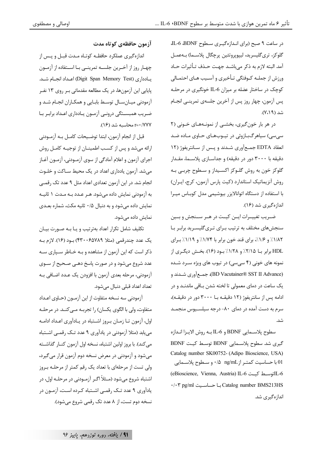در ساعت ۹ صبح (برای اندازهگیری سطوح LL-6 BDNF گلوكز، ترىگليسريد، ليپوپروتئين پرچگال پلاسـما) بــهعمــل آمد. البته لازم به ذکر می باشـد جهـت حـذف تـأثيرات حـاد ورزش از جملـه كـوفتگي تـأخيري و آسـيب هـاي احتمـالي کوچک در ساختار عضله بر میزان IL-6 خونگیری در مرحلـه پس آزمون، چهار روز پس از آخرین جلسهی تمرینـی انجـام شد (۷،۱۹).

در هر بار خونگیری، بخشی از نمونههای خونی (۲ سی سی) سیاهرگبازوئی در تیـوبهـای حـاوی مـاده ضـد انعقاد EDTA جمعآوري شدند و پس از سـانتريفوژ (١٢ دقیقه با ۳۰۰۰ دور در دقیقه) و جداســازی پلاســما، مقــدار گلوکز خون به روش گلـوکز اکسـيداز و سـطوح چربـي بـه روش آنزیماتیک استاندارد (کیت پارس آزمون، کرج، ایران) با استفاده از دستگاه اتوانالایزر بیوشیمی مدل کوباس میـرا اندازهگیری شد (۱۶).

ضـریب تغییـرات ایــن کیــت در هــر ســنجش و بــین سنجشهای مختلف به ترتیب بـرای تـریگلیسـرید برابـر بـا ١/٨٢٪ و ١/٧٪، برای قند خون برابر با ١/٧۴٪ و ١/١/٩٪ بـرای HDL برابر بــا ۲/۱۵٪ و ۱/۲۸٪ بــود (۱۶). بخــش دیگــری از نمونه های خونی (۴ سی سی) در تیوب های ویژه سـرد شـده (BD Vacutainer® SST II Advance)، جمع آوري شـدند و یک ساعت در دمای معمولی تا لخته شدن بـاقی ماندنـد و در ادامه پس از سانتریفوژ (۱۲ دقیقــه بــا ۳۰۰۰ دور در دقیقــه)، سرم به دست آمده در دمای ۸۰- درجه سیلسـیوس منجمـد شد.

سطوح پلاسـمايي BDNF و IL-6 بـه روش الايـزا انـدازه گیری شد. سطوح پلاسـمایی BDNF توسـط کیـت BDNF Catalog number SK00752- (Adipo Bioscience, USA) 01 با حساسیت کمتـر از ng/mL \، و سـطوح پلاسـمایی (eBioscience, Vienna, Austria) IL-6 توسط كيت 16-IL (eBioscience, Vienna, Austria) Catalog number BMS213HS با حساسيت Catalog number BMS213HS اندازەگىرى شد.

آزمون حافظهي كوتاه مدت

اندازهگیری عملکرد حافظـه کوتـاه مـدت قبــل و پــس از چهـار روز از آخـرين جلســه تمرينــي بــا اســتفاده از آزمــون يـادداري (Digit Span Memory Test) اعـداد انجـام شـد. پایایی این آزمونها، در یک مطالعه مقدماتی بـر روی ۱۳ نفـر آزمودنی میـانسـال توسـط بابـایی و همکـاران انجـام شـد و ضـريب همبســتگي درونــي آزمــون يــادداري اعــداد برابــر بــا r=•/۷۷۷ -r

قبل از انجام آزمون، ابتدا توضـيحات كامــل بــه آزمــودنى ارائه میشد و پس از کسب اطمینـان از توجیـه کامـل روش اجرای آزمون و اعلام آمادگی از سوی آزمـودنی، آزمـون آغـاز می شد. آزمون یادداری اعداد در یک محیط سـاکت و خلـوت انجام شد. در این آزمون تعدادی اعداد مثل ۹ عدد تک رقمـی به آزمودنی نمایش داده می شود. هـر عـدد بـه مـدت ۱ ثانیـه نمایش داده می شود و به دنبال ۰/۵ ثانیه مکث، شماره بعـدی نمایش داده مے شود.

تکلیف شامل تکرار اعداد بهترتیب و یـا بـه صـورت بیـان یک عدد چند,قمی (مثلا ۴۳۰۰۶۵۷۸۹) بود (۱۶). لازم بـه ذکر است که این آزمون از مشاهده و بـه خـاطر سـیاری سـه عدد شروع میشود و در صورت پاسخ دهـی صـحیح از سـوی آزمودنی، مرحله بعدی آزمون با افزودن یک عـدد اضـافی بـه تعداد اعداد قبلے ونبال مے شود.

آزمودنی سه نسخه متفاوت از این آزمـون (حـاوی اعـداد متفاوت، ولي با الگوي يکسان) را تجربـه مـي کنـد. در مرحلـه اول، آزمون تـا زمـان بـروز اشـتباه در يـادآوري اعـداد ادامـه می یابد (مثلا آزمودنی در یادآوری ۹ عدد تـک رقمـی اشـتباه می کند). با بروز اولین اشتباه، نسخه اول آزمون کنـار گذاشـته میشود و آزمودنی در معرض نسخه دوم آزمون قرار می گیرد، ولی تست از مرحلهای با تعداد یک رقم کمتر از مرحلـه بـروز اشتباه شروع میشود (مـثلاً اگـر آزمـودنی در مرحلـه اول، در یادآوری ۹ عدد تـک رقمـی اشـتباه کـرده اسـت، آزمـون در نسخه دوم تست، از ۸ عدد تک رقمی شروع می شود).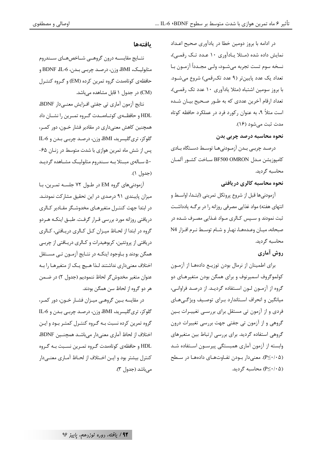در ادامه با بروز دومین خطا در یادآوری صحیح اعـداد نمایش داده شده (مثلا یادآوری ۱۰ عدد تک رقمی)، نسخه سوم تست تجربه ميشـود، ولـي مجـدداً آزمـون بـا تعداد یک عدد پایینتر (۹ عدد تکرقمی) شروع میشود. با بروز سومین اشتباه (مثلا یادآوری ۱۰ عدد تک رقمـی)، تعداد ارقام آخرین عددی که به طـور صـحیح بیـان شـده است مثلاً ۹، به عنوان رکورد فرد در عملکرد حافظه کوتاه مدت ثبت مي شود (١۶).

نحوه محاسبه درصد چربی بدن

درصد چربے بدن آزمودنیها توسط دستگاه بادی كامپوزيشن مـدل BF500 OMRON سـاخت كشـور آلمـان محاسبه گردید.

نحوه محاسبه كالرى دريافتي

آزمودنیها قبل از شروع پروتکل تمرینی (ابتـدا، اواسـط و انتهای هفته) مواد غذایی مصرفی روزانه را در برگـه یادداشـت ثبت نمودند و سـپس كـالري مـواد غـذايي مصـرف شـده در صبحانه، میـان وعـدههـا، نهـار و شـام توسـط نـرم افـزار N4 محاسبه گردید.

### روش آماري

برای اطمینان از نرمال بودن توزیـع دادههـا از آزمـون کولموگروف اسمپرنوف و برای همگن بودن متغیرهـای دو گروه از آزمـون لـون اسـتفاده گرديـد. از درصـد فراوانـي، میانگین و انحراف استاندارد برای توصیف ویژگیهای فردی و از آزمون تی مستقل برای بررسـی تغییـرات بـین گروهی و از آزمون تی جفتی جهت بررسی تغییرات درون گروهی استفاده گردید. برای بررسی ارتباط بین متغیرهای وابسته از آزمون آماری همبستگی پیرسـون اسـتفاده شـد (P≤٠/٠۵). معنی دار بودن تفـاوتهـای دادههـا در سـطح (P≤٠/٠۵) محاسىه گردىد.

### بافتهها

نتــايج مقايســه درون گروهــي شــاخصهــاي ســندروم متابوليـك، BMI، وزن، درصـد چربـي بـدن، BDNF ،IL-6 و حافظهی کوتاهمدت گروه تمرین کرده (EM) و گـروه کنتـرل (CM) در جدول ۱ قابل مشاهده می باشد.

نتايج آزمون آماري تي جفتي افـزايش معنـيدار BDNF، HDL و حافظــهي كوتــاهمــدت گــروه تمــرين ,ا نشــان داد همچنین کاهش معنی داری در مقادیر فشار خــون، دور کمــر، گلوکز، تریگلیسرید، BMI، وزن، درصد چربـی بـدن و IL-6 پس از شش ماه تمرین هوازی با شدت متوسط در زنـان ۶۵-۵۰ سـالهی مبـتلابـه سـندروم متابوليـک مشـاهده گرديـد (جدول ۱).

آزمودنیهای گروه EM در طـول ۷۲ جلسـه تمـرین، بـا میزان پایبندی ۹۱ درصدی در این تحقیق مشارکت نمودنـد. در ابتدا جهت کنتـرل متغیرهـای مخدوشـگر مقـادیر کـالری دریافتی روزانه مورد بررسی قـرار گرفـت. طبـق اینکـه هـردو گروه در ابتدا از لحـاظ میـزان کـل کـالري دريـافتي، کـالري دریافتی از پروتئین، کربوهیدرات و کـالري دریـافتی از چربـی همگن بودند و بـاوجود اينكـه در نتـايج آزمـون تـي مســتقل اختلاف معنی داری نداشتند لـذا هـیچ یـک از متغیرهـا را بـه عنوان متغير مخدوش گر لحاظ ننموديم (جدول ٢) در ضـمن هر دو گروه از لحاظ سن همگن بودند.

در مقايسه بين گروهي ميـزان فشـار خـون، دور كمـر، گلوکز، تریگلیسرید، BMI، وزن، درصد چربی بدن و IL-6 گروه تمرین کرده نسبت بـه گـروه کنتـرل کمتـر بـود و ایـن اختلاف از لحاظ آماری معنی دار می باشـد همچنــین BDNF، HDL و حافظه یکوتاهمدت گروه تمـرین نسـبت بـه گـروه کنترل بیشتر بود و ایـن اخـتلاف از لحـاظ آمـاری معنـی۵ار مے باشد (جدول ۳).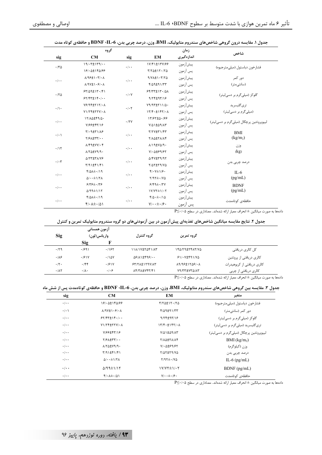|                           | گروه                                                        |                           |                                                                            | زمان        | شاخص                                      |  |
|---------------------------|-------------------------------------------------------------|---------------------------|----------------------------------------------------------------------------|-------------|-------------------------------------------|--|
| sig                       | CM                                                          | sig                       | EM                                                                         | اندازهگیری  |                                           |  |
| .70                       | 19/·T±179/··                                                | $\cdot$ / $\cdot$ $\cdot$ | 1Y/F1±1٣Y/۶۶                                                               | پيشأزمون    |                                           |  |
|                           | 181.0±140199                                                |                           | $Y/Y\Delta t$ $Y\cdot/Y\Delta$                                             | پس أزمون    | فشارخون دياستول (ميلي مترجيوه)            |  |
| $\cdot$ / $\cdot$ $\cdot$ | $\lambda$ /9۶±1 · ٣/ • ٨                                    | $\cdot$ / $\cdot$ $\cdot$ | $9/Y\Lambda t \cdot 7/Y\Delta$                                             | ييشآزمون    | دور کمر                                   |  |
|                           | $\lambda$ /9V±1.8/. $\lambda$                               |                           | $f/\Delta$ 9±91/٣٣                                                         | پس آزمون    | (سانتے متر)                               |  |
| .70                       | $54/09 \pm 11.1$                                            | $\cdot$ / $\cdot$ Y       | $55/77 \pm 17.40$                                                          | پيشأزمون    | گلوکز (میلی گرم بر دسی لیتر)              |  |
|                           | $57/97 \pm 19.1$                                            |                           | $9/77\pm97/19$                                                             | پس آزمون    |                                           |  |
| $\cdot/\cdot$             | $Y$ ۶/۹۴±۲۱۲/۰۸                                             | $\cdot$ / $\cdot$ $\cdot$ | $Y9/97 \pm Y11/0.$                                                         | پيشأزمون    | ترىگليسريد                                |  |
|                           | VI/TF±TTV/. A                                               |                           | $177 + t197$                                                               | پس آزمون    | (میلی گرم بر دسی لیتر)                    |  |
| $\cdot$ / $\cdot$ $\cdot$ | 17/10±49/0.                                                 | .77V                      | 17/97±0.199                                                                | پيشأزمون    | لیپویروتئین پرچگال (میلی گرم بر دسے لیتر) |  |
|                           | V/88±47/18                                                  |                           | VIAI ± A 1 INT                                                             | يس آزمون    |                                           |  |
| $\cdot/\cdot$ \           | $Y/\cdot 9 \pm Y)/\lambda$ ۶                                | $\cdot$ / $\cdot$ $\cdot$ | $Y/YY \pm Y/Y$                                                             | پيشأزمون    | <b>BMI</b>                                |  |
|                           | $Y/\mathcal{F} \Lambda \pm \Upsilon \Upsilon / \cdot \cdot$ |                           | Υ/ΛΔΞΥΛ/Λ۴                                                                 | پس آزمون    | (kg/m <sub>2</sub> )                      |  |
| .115                      | $\lambda$ /۴۹±۷۷/•۴                                         | $\cdot$ / $\cdot$ $\cdot$ | A/IRIVA/9.                                                                 | پيشأزمون    | وزن                                       |  |
|                           | A/YA±V9/9.                                                  |                           | $Y/\cdot \Delta \pm 99/7$                                                  | يس آزمون    | (kg)                                      |  |
| $\cdot$ / $\cdot$ $\tau$  | AITT±TAIVS                                                  | $\cdot$ / $\cdot$ $\cdot$ | <b>D/FV±۳۹/۹۲</b>                                                          | پيشأزمون    | درصد چربی بدن                             |  |
|                           | $T/91 \pm F1/F1$                                            |                           | Y/AY±Y9/YA                                                                 | يس آزمون    |                                           |  |
| $\cdot$ / $\cdot$ $\cdot$ | $f/\Delta\lambda \pm -19$                                   | $\cdot$ / $\cdot$ $\cdot$ | $f/\cdot V \pm 1/\beta$ .                                                  | پيشأزمون    | $II - 6$                                  |  |
|                           | $\Delta/\cdot$ + $\pm$ 1/٢ $\Lambda$                        |                           | $Y/9Y \pm Y/90$                                                            | يس آزمون    | (pg/mL)                                   |  |
| $\cdot$ / $\cdot$ $\cdot$ | $8195 + 199$                                                |                           | پيشأزمون<br>$9/9$ + $\pm$ $\cdot$ /۳ $\gamma$<br>$\cdot$ / $\cdot$ $\cdot$ | <b>BDNF</b> |                                           |  |
|                           | $\Delta$ /99±1/1٢                                           |                           | $1Y/YY\pm 1/\cdot Y$                                                       | يس آزمون    | (pg/mL)                                   |  |
| $\cdot \mid \cdot$        | $f/\Delta\lambda \pm -19$                                   | $\cdot$ / $\cdot$ $\cdot$ | $f/\Delta \cdot \pm \cdot/\Delta$                                          | پيشأزمون    | حافظەي كوتاەمدت                           |  |
|                           | $f/\cdot \lambda \pm \cdot/\Delta$                          |                           | $Y/\cdot \pm \cdot$ / $\mathfrak{S} \cdot$                                 | پس آزمون    |                                           |  |

### جدول ۱. مقایسه درون گروهی شاخصهای سندروم متابولیک، BMI، وزن، درصد چربی بدن، 6-BDNF و حافظهی کوتاه مدت

.<br>دادهها به صورت میانگین ± انحراف معیار ارائه شدهاند. معناداری در سطح ۲۰۰۵-P≤

#### جدول ۲. نتایج مقایسه میانگین شاخصهای تغذیهای پیشآزمون در بین آزمودنیهای دو گروه سندروم متابولیک تمرین و کنترل

| <b>Sig</b> | ازمون همسانی<br>واريانس(لون) |               | گروه کنترل                                               | گروه تمرین                                      |                             |
|------------|------------------------------|---------------|----------------------------------------------------------|-------------------------------------------------|-----------------------------|
|            | Sig                          |               |                                                          |                                                 |                             |
| .179       | .1991                        | .195          | 118/17±7541/AT                                           | IFA/TRETFAT/VA                                  | کل کالری دریافتی            |
| .18        | .191V                        | $.11\Delta V$ | $\Delta$ ۶/۸۱±۴۹۶/                                       | 511.7159170                                     | کالری دریافتی از پروتئین    |
| .7.        | .799                         | .191Y         | $57/7$ $\Lambda$ $\pm$ $179$ $\gamma$ / $\Lambda$ $\tau$ | $\lambda$ 9/98±17 $\Delta$ 8/ $\cdot$ $\lambda$ | کالری دریافتی از کربوهیدرات |
| .11        | $\cdot/\lambda$ .            | .   . 9       | <b>AFITA±VFTIFI</b>                                      | VINTT TYTAIAT                                   | کالری دریافتی از چربی       |

 $P \leq \cdot$  دادهها به صورت میانگین  $\pm$  انحراف معیار ارائه شدهاند. معناداری در سطح ۰/۰۵

#### جدول ۳. مقایسه بین گروهی شاخصهای سندروم متابولیک، BMI، وزن، درصد چربی بدن، 6-BDNF و حافظهی کوتاهمدت پس از شش ماه

| sig                       | CM                                                | EM                                               | متغير                                     |
|---------------------------|---------------------------------------------------|--------------------------------------------------|-------------------------------------------|
| $\cdot$ / $\cdot$ $\cdot$ | 181.0±140188                                      | $Y/Y\Delta t$ $Y\cdot Y\Delta$                   | فشا, خون دياستول (ميلي مترجيوه)           |
| $\cdot/\cdot$ )           | $\lambda$ /9V±1.8/. $\lambda$                     | $f/\Delta$ 9±91/٣٣                               | دور کمر (سانتے متر)                       |
| $\cdot$ / $\cdot$ $\cdot$ | $55/57+15.$                                       | $9/77$ $\pm 97/9$                                | گلوکز (میلے گرم بر دسے لیتر)              |
| $\cdot$ / $\cdot$ $\cdot$ | VI/YF±YYY/. A                                     | $177 + t197$                                     | تری گلیسرید (میلی گرم بر دسی لیتر)        |
| $\cdot$ / $\cdot$ $\cdot$ | VISS±4719                                         | VIAI ± A 9/A T                                   | لیپویروتئین پرچگال (میلے گرم بر دسے لیتر) |
| $\cdot$ / $\cdot$ $\cdot$ | $Y/2$ $\pm Y'Y$                                   | <b>TIAQ±TAIAF</b>                                | BMI (kg/m <sub>2</sub> )                  |
| $\cdot$ / $\cdot$ $\cdot$ | A/YA±V9/9.                                        | $Y/\cdot \Delta t$                               | وزن (کیلوگرم)                             |
| $\cdot/\cdot$ .           | $\frac{1}{2}$                                     | Y/AT±T9/VA                                       | درصد چربے بدن                             |
| $\cdot$ / $\cdot$ $\cdot$ | $\Delta$ / $\cdot$ + $\pm$ $\frac{1}{1}$ $\Delta$ | $Y/97\pm$ ./VA                                   | IL-6 $(pg/mL)$                            |
| $\cdot \cdot \cdot$       | $\Delta$ /99± $\frac{1}{1}$                       | $1Y/YY\pm 1/\cdot Y$                             | $BDNF$ (pg/mL)                            |
| $\cdot$ / $\cdot$ $\cdot$ | $f/\cdot \lambda \pm \cdot/\Delta$                | $Y/\cdot \cdot \pm \cdot$ / $\mathfrak{S} \cdot$ | حافظهى كوتاهمدت                           |

.<br>دادهها به صورت میانگین ± انحراف معیار ارائه شدهاند. معناداری در سطح ۲۰۰۵-P≤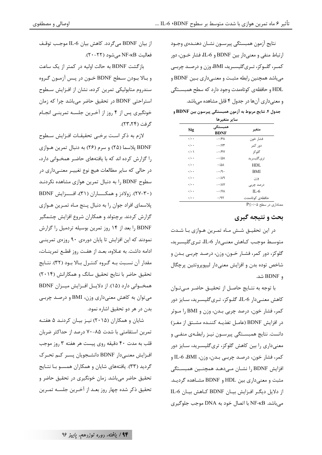نتايج أزمون همبستگي پيرسـون نشـان دهنـدهي وجـود ارتباط منفي و معنىدار بين BDNF و IL-6، فشار خــون، دور کمـر، گلـوکز، تـريگليسـريد، BMI، وزن و درصـد چربـي میباشد همچنین رابطه مثبت و معنـیداری بـین BDNF و HDL و حافظه ی کوتاهمدت وجود دارد که سطح همبستگی و معنیداری آنها در جدول ۴ قابل مشاهده میباشد.

جدول ۴. نتایج مربوط به آزمون همبستگی پیرسون بین BDNF و

|                           | ساير متعيرها              |                 |
|---------------------------|---------------------------|-----------------|
| Sig                       | همبستگی<br><b>BDNF</b>    | متغير           |
| $\cdot$ / $\cdot$ $\cdot$ | 8۸ - −                    | فشار خون        |
| $\cdot$ / $\cdot$ $\cdot$ | $- \cdot$ / $\gamma \tau$ | دور کمر         |
| $\cdot$ / $\cdot$ )       | $- \cdot$ /۴۷             | گلو کز          |
| $\cdot$ / $\cdot$ $\cdot$ | $-10\lambda$              | تر ی گلیسر پد   |
| $\cdot$ / $\cdot$ $\cdot$ | .181                      | <b>HDL</b>      |
| $\cdot$ / $\cdot$ $\cdot$ | $- \cdot 9 \cdot$         | <b>BMI</b>      |
| $\cdot$ / $\cdot$ $\cdot$ | $-\cdot/\lambda$ ٩        | وزن             |
| $\cdot$ / $\cdot$ $\cdot$ | $- \cdot/\lambda V$       | درصد چربی       |
| $\cdot$ / $\cdot$ $\cdot$ | $- \cdot$ /YA             | $IL-6$          |
| $\cdot$ / $\cdot$ $\cdot$ | ۰/۹۲                      | حافظەى كوتاەمدت |
|                           |                           |                 |

 $P \leq \cdot$ /۰۵ معناداری در سطح

بحث و نتیجه گیری

در این تحقیـق شـش مـاه تمـرین هـوازی بـا شـدت متوسط موجب كـاهش معنـىدار IL-6، تـرىگليسـريد، گلوکز، دور کمر، فشـار خــون، وزن، درصـد چربـي بـدن و شاخص توده بدن و افزايش معنىدار ليپوپروتئين پرچگال ه BDNF شد.

با توجه به نتـايج حاصـل از تحقيـق حاضـر مـىتـوان كاهش معنـىدار IL-6، گلـوكز، تـرىگليسـريد، سـايز دور کمر، فشار خون، درصد چربی بـدن، وزن و BMI را مـوثر در افزایش BDNF (عامـل تغذیـه کننـده مشـتق از مغـز) دانست. نتایج همبسـتگی پیرسـون نیـز رابطـهی منفـی و معنیداری را بین کاهش گلوکز، تریگلیسـرید، سـایز دور كمر، فشار خون، درصد چربـي بـدن، وزن، IL-6 ،BMI و افزایش BDNF را نشـان مـیدهـد همچنـین همبسـتگی مثبت و معنی داری بین HDL و BDNF مشـاهده گردیـد. از دلایل دیگر افزایش بیـان BDNF کـاهش بیـان IL-6 می باشد. NF-KB با اتصال خود به DNA موجب جلوگیری

اوصالی و مصطفوی

از بيان BDNF مي گردد. كاهش بيان IL-6 موجب توقـف فعاليت NF-KB مي شود (٢٢-٢٠).

بازگشت BDNF به حالت اولیه در کمتر از یک ساعت و بالا بودن سطح BDNF خـون در پـس آزمـون گـروه سندروم متابولیکی تمرین کرده، نشان از افـزایش سـطوح استراحتی BDNF در تحقیق حاضر میباشد چرا که زمان خونگیری پس از ۴ روز از آخرین جلسه تمرینی انجام گرفت (۲۴،۲۴).

لازم به ذكر است برخيي تحقيقـات افـزايش سـطوح BDNF پلاسما (۲۵) و سرم (۲۶) به دنبال تمرین هـوازی را گزارش کرده اند که با یافتههای حاضر همخـوانی دارد، در حالي كه ساير مطالعات هيچ نوع تغييـر معنـي‹داري در سطوح BDNF ,ا به دنبال تمرین هوازی مشاهده نکردنـد (۳۰–۲۷). زولادز و همکــــاران (۳۱)، افـــزایش BDNF پلاسمای افراد جوان را به دنبال پـنج مـاه تمـرين هـوازي گزارش کردند. برچتولد و همکاران شروع افزایش چشمگیر BDNF را بعد از ۱۴ روز تمرین بوسیله تردمیل را گزارش نمودند که این افزایش تا پایان دورهی ۹۰ روزهی تمرینی ادامه داشت. به عـلاوه، بعـد از هفـت روز قطـع تمرينـات، مقدار آن نسبت بـه گـروه كنتـرل بـالا بـود (٣٢). نتـايج تحقیق حاضر با نتایج تحقیق سانگ و همکارانش (۲۰۱۴) همخـوانی دارد (۱۵). از دلایـل افـزایش میـزان BDNF می توان به کاهش معنیداری وزن، BMI و درصد چربی بدن در هر دو تحقیق اشاره نمود.

شایان و همکاران (۲۰۱۵) نیـز بیـان کردنـد ۵ هفتـه تمرین استقامتی با شدت ۸۵-۷۰ درصد از حداکثر ضربان قلب به مدت ۴۰ دقیقه روی پیست هر هفته ۳ روز موجب افزایش معنـیدار BDNF دانشـجویان پسـر کـم تحـرک گردید (۳۳). یافتههای شایان و همکاران همسـو بـا نتـایج تحقیق حاضر میباشد. زمان خونگیری در تحقیق حاضر و تحقیق ذکر شده چهار روز بعـد از آخـرین جلسـه تمـرین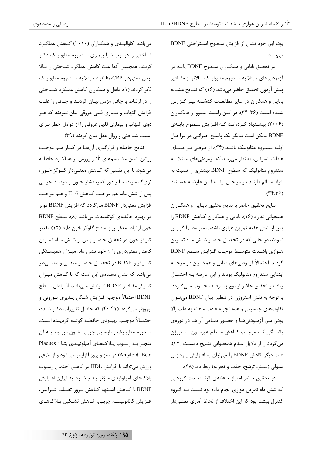بود، این خود نشان از افزایش سطوح استراحتی BDNF مے باشد.

در تحقیق بابایی و همکـاران سـطوح BDNF پایـه در آزمودنی های مبتلا به سندروم متابولیـک بـالاتر از مقـادیر پیش آزمون تحقیق حاضر میباشد (۱۶) که نتـایج مشـابه بابایی و همکاران در سایر مطالعـات گذشـته نیـز گـزارش شده است (۳۶-۳۴). در ایـن راسـتا، سـووا و همكـاران (۲۰۰۶) پیشـنهاد کـردهانـد کـه افـزایش سـطوح پایـهى BDNF ممکن است بیانگر یک پاسخ جبرانبی در مراحل اولیه سندروم متابولیک باشد (۳۴). از طرفی بر مبنای غلظت انسولین، به نظر می٫سد که آزمودنیهای مبتلا بـه سندروم متابولیک که سطوح BDNF بیشتری را نسبت به افراد سـالم دارنـد در مراحـل اوليـه ايـن عارضـه هسـتند  $(75.79)$ 

نتايج تحقيق حاضر با نتايج تحقيق بابـايي و همكـاران همخوانی ندارد (۱۶). بابایی و همکاران کـاهش BDNF ,۱ پس از شش هفته تمرین هوازی باشدت متوسط را گزارش نمودند در حالی که در تحقیـق حاضـر شـش مـاه تمـرین هـوازي باشـدت متوسـط موجـب افـزايش سـطح BDNF گردید. احتمالاً آزمودنیهای بابایی و همکـاران در مرحلـه ابتدایی سندروم متابولیک بودند و این عارضه بـه احتمـال زیاد در تحقیق حاضر از نوع پیشرفته محسوب مےگردد. با توجه به نقش استروژن در تنظیم بیان BDNF میتوان تفاوتهای جنسیتی و عدم تجربه عادت ماهانه به علت بالا بودن سن آزمـودنیهـا و حضـور تمـامی آنهـا در دورهی یائسگی کـه موجـب کـاهش سـطح هورمـون اسـتروژن می گردد را از دلایل عـدم همخـوانی نتـایج دانسـت (٣٧). علت دیگر کاهش BDNF را می توان به افزایش پردازش سلولي (سنتز، ترشح، جذب و تجزيه) ربط داد (٣٨).

در تحقیق حاضر امتیاز حافظهی کوتـاهمـدت گروهـی که شش ماه تمرین هوازی انجام داده بود نسبت بـه گـروه کنترل بیشتر بود که این اختلاف از لحاظ آماری معنـی۱ار

میباشد. کاوالیدی و همکاران (۲۰۱۰) کاهش عملکرد شناختی را در ارتباط با بیماری سندروم متابولیک ذکر کردند. همچنین آنها علت کاهش عملکرد شناختی را بـالا بودن معنىدار hs-CRP افراد مبتلا به سـندروم متابوليـك ذکر کردند (۱). داهل و همکاران کاهش عملکرد شـناختی را در ارتباط با چاقی مزمن بیـان کردنـد و چـاقی را علـت افزایش التهاب و بیماری قلبی عروقی بیان نمودند که هـر دوي التهاب و بيماري قلبي عروقي را از عوامل خطر بـراي آسيب شناختي و زوال عقل بيان كردند (٣٩).

نتايج حاصله و قرارگيري آنها در كنار هم موجب روشن شدن مكانيسمهاى تأثير ورزش بر عملكـرد حافظـه مي شود. با اين تفسير كه كـاهش معنـي‹دار گلـوكز خـون، تری گلیسرید، سایز دور کمر، فشار خـون و درصـد چربـی يس از شش ماه، هم موجب كـاهش IL-6 و هـم موجـب افزایش معنی دار BDNF می گردد که افزایش BDNF موثر در بھبود حافظه ی کوتاهمدت مے باشد (۸). سبطح BDNF خون ارتباط معکوس با سطح گلوکز خون دارد (١٢) مقدار گلوکز خون در تحقیق حاضر پـس از شـش مـاه تمـرین کاهش معنیداری را از خود نشان داد. میـزان همبسـتگی گلـوکز و BDNF در تحقیــق حاضــر منفــی و معنــیدار میباشد که نشان دهندهی این است که با کـاهش میـزان گلـوكز مقـادير BDNF افـزايش مـىيابـد. افـزايش سـطح BDNF احتمالاً موجب افـزايش شـكل پـذيري نـوروني و نوروژنز میگردد (۴۰،۴۱) که حاصل تغییرات ذکر شده، احتمــالاً موجــب بهبــودي حافظــه كوتــاه گرديــده اســت. سندروم متابولیک و نارسایی چربے خـون مربـوط بـه آن منجر به رسوب پلاکهای آمیلوئیدی بتا ( Plaques Amyloid Beta) در مغز و بروز آلزايمر ميشود و از طرفي ورزش می تواند با افزایش HDL در کاهش احتمال رسوب پلاکهای آمیلوئیدی مـؤثر واقـع شـود. بنـابراین افـزایش BDNF با كـاهش اشـتها، كـاهش بـروز تصـلب شـرايين، افزایش کاتابولیسم چربے، کـاهش تشـکیل پـلاکـهـای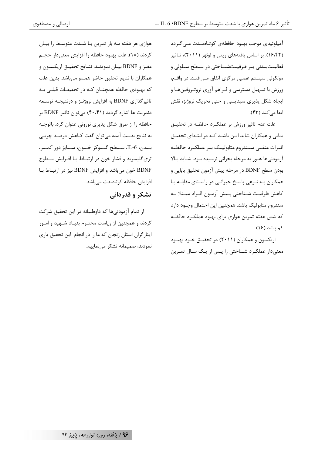اوصالی و مصطفوی

آمیلوئیدی موجب بهبود حافظهی کوتـاهمـدت مـی گـردد (۱۶،۴۲). بر اساس یافتههای ریتی و لوئهر (۲۰۱۱)، تـاثیر فعالیــتبــدنی بــر ظرفیــتشــناختی در ســطح ســلولی و مولکولی سیستم عصبی مرکزی اتفاق مےافتـد. در واقـع، ورزش با تسهیل دسترسی و فـراهم آوری نروتـروفینهـا و ایجاد شکل پذیری سیناپسی و حتی تحریک نروژنز، نقش ایفا می کند (۴۳).

علت عدم تاثیر ورزش بر عملکـرد حافظـه در تحقیـق بابایی و همکاران شاید ایـن باشـد کـه در ابتـدای تحقیـق اثـرات منفــى ســندروم متابوليــك بــر عملكــرد حافظــه آزمودنی ها هنوز به مرحله بحرانی نرسیده بـود. شـاید بـالا بودن سطح BDNF در مرحله پیش آزمون تحقیق بابایی و همکاران بـه نـوعی پاسـخ جبرانـی در راسـتای مقابلـه بـا كاهش ظرفيت شـناختى يـيش آزمـون افـراد مبـتلا بـه سندروم متابوليک باشد. همچنين اين احتمال وجـود دارد که شش هفته تمرین هوازی برای بهبود عملک رد حافظـه کم باشد (۱۶).

اریکسون و همکاران (۲۰۱۱) در تحقیــق خــود بهبــود معنیدار عملکـرد شـناختی را پـس از یـک سـال تمـرین

هوازی هر هفته سه بار تمرین بـا شـدت متوسـط را بیـان كردند (١٨). علت بهبود حافظه را افزايش معنىدار حجـم مغـز و BDNF بيـان نمودنـد. نتـايج تحقيـق اريكسـون و همكاران با نتايج تحقيق حاضر همسو مىباشد. بدين علت که بهبودی حافظه همچنـان کـه در تحقیقـات قبلـی بـه تاثیرگذاری BDNF به افزایش نروژنـز و درنتیجـه توسـعه دندریت ها اشاره گردید (۴۰،۴۱) می توان تاثیر BDNF بر حافظه را از طرق شكل پذيري نوروني عنوان كرد. باتوجـه به نتایج بدست آمده می توان گفت کـاهش درصـد چربـی بــدن، 16-IL، ســـطح گلـــوكز خـــون، ســـايز دور كمـــر، تری گلیسرید و فشار خون در ارتبـاط بـا افـزایش سـطوح BDNF خون می باشد و افزایش BDNF نیز در ارتباط با افزایش حافظه کوتاهمدت میباشد.

### تشکر و قدردانی

از تمام آزمودنی ها که داوطلبانه در این تحقیق شرکت کردند و همچنین از ریاست محتـرم بنیـاد شـهید و امـور ایثارگران استان زنجان که ما را در انجام این تحقیق پاری نمودند، صمیمانه تشکر می نماییم.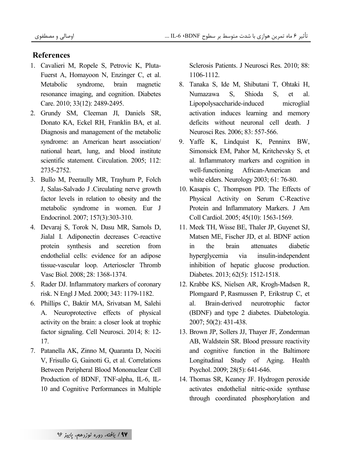### **References**

- 1. Cavalieri M, Ropele S, Petrovic K, Pluta-Fuerst A, Homayoon N, Enzinger C, et al. Metabolic syndrome, brain magnetic resonance imaging, and cognition. Diabetes Care. 2010; 33(12): 2489-2495.
- 2. Grundy SM, Cleeman JI, Daniels SR, Donato KA, Eckel RH, Franklin BA, et al. Diagnosis and management of the metabolic syndrome: an American heart association/ national heart, lung, and blood institute scientific statement. Circulation. 2005; 112: 2735-2752.
- 3. Bullo M, Peeraully MR, Trayhurn P, Folch J, Salas-Salvado J .Circulating nerve growth factor levels in relation to obesity and the metabolic syndrome in women. Eur J Endocrinol. 2007; 157(3):303-310.
- 4. Devaraj S, Torok N, Dasu MR, Samols D, Jialal I. Adiponectin decreases C-reactive protein synthesis and secretion from endothelial cells: evidence for an adipose tissue-vascular loop. Arterioscler Thromb Vasc Biol. 2008; 28: 1368-1374.
- 5. Rader DJ. Inflammatory markers of coronary risk. N Engl J Med. 2000; 343: 1179-1182.
- 6. Phillips C, Baktir MA, Srivatsan M, Salehi A. Neuroprotective effects of physical activity on the brain: a closer look at trophic factor signaling. Cell Neurosci. 2014; 8: 12- 17.
- 7. Patanella AK, Zinno M, Quaranta D, Nociti V, Frisullo G, Gainotti G, et al. Correlations Between Peripheral Blood Mononuclear Cell Production of BDNF, TNF-alpha, IL-6, IL-10 and Cognitive Performances in Multiple

Sclerosis Patients. J Neurosci Res. 2010; 88: 1106-1112.

- 8. Tanaka S, Ide M, Shibutani T, Ohtaki H, Numazawa S, Shioda S, et al. Lipopolysaccharide-induced microglial activation induces learning and memory deficits without neuronal cell death. J Neurosci Res. 2006; 83: 557-566.
- 9. Yaffe K, Lindquist K, Penninx BW, Simonsick EM, Pahor M, Kritchevsky S, et al. Inflammatory markers and cognition in well-functioning African-American and white elders. Neurology 2003; 61: 76-80.
- 10. Kasapis C, Thompson PD. The Effects of Physical Activity on Serum C-Reactive Protein and Inflammatory Markers. J Am Coll Cardiol. 2005; 45(10): 1563-1569.
- 11. Meek TH, Wisse BE, Thaler JP, Guyenet SJ, Matsen ME, Fischer JD, et al. BDNF action in the brain attenuates diabetic hyperglycemia via insulin-independent inhibition of hepatic glucose production. Diabetes. 2013; 62(5): 1512-1518.
- 12. Krabbe KS, Nielsen AR, Krogh-Madsen R, Plomgaard P, Rasmussen P, Erikstrup C, et al. Brain-derived neurotrophic factor (BDNF) and type 2 diabetes. Diabetologia. 2007; 50(2): 431-438.
- 13. Brown JP, Sollers JJ, Thayer JF, Zonderman AB, Waldstein SR. Blood pressure reactivity and cognitive function in the Baltimore Longitudinal Study of Aging. Health Psychol. 2009; 28(5): 641-646.
- 14. Thomas SR, Keaney JF. Hydrogen peroxide activates endothelial nitric-oxide synthase through coordinated phosphorylation and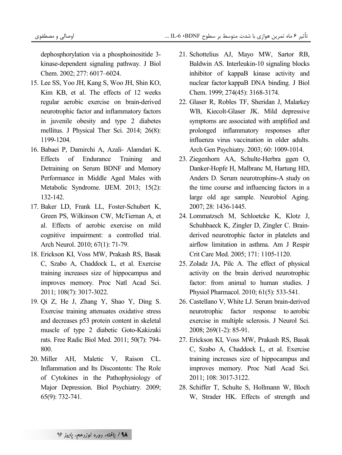dephosphorylation via a phosphoinositide 3 kinase -dependent signaling pathway. J Biol Chem. 2002; 277: 6017–6024.

- 15. Lee SS, Yoo JH, Kang S, Woo JH, Shin KO, Kim KB, et al. The effects of 12 weeks regular aerobic exercise on brain-derived neurotrophic factor and inflammatory factors in juvenile obesity and type 2 diabetes mellitus. J Physical Ther Sci. 2014; 26(8): 1199-1204.
- 16. Babaei P, Damirchi A, Azali- Alamdari K. Effects of Endurance Training and Detraining on Serum BDNF and Memory Performance in Middle Aged Males with Metabolic Syndrome. IJEM. 2013; 15(2): 132-142.
- 17. Baker LD, Frank LL, Foster-Schubert K, Green PS, Wilkinson CW, McTiernan A, et al. Effects of aerobic exercise on mild cognitive impairment: a controlled trial. Arch Neurol. 2010; 67(1): 71-79.
- 18. Erickson KI, Voss MW, Prakash RS, Basak C, Szabo A, Chaddock L, et al. Exercise training increases size of hippocampus and improves memory. Proc Natl Acad Sci. 2011; 108(7): 3017-3022.
- 19. Qi Z, He J, Zhang Y, Shao Y, Ding S. Exercise training attenuates oxidative stress and decreases p53 protein content in skeletal muscle of type 2 diabetic Goto-Kakizaki rats. Free Radic Biol Med. 2011; 50(7): 794- 800.
- 20. Miller AH, Maletic V, Raison CL. Inflammation and Its Discontents: The Role of Cytokines in the Pathophysiology of Major Depression. Biol Psychiatry. 2009; 65(9): 732-741.
- 21. Schottelius AJ, Mayo MW, Sartor RB, Baldwin AS. Interleukin-10 signaling blocks inhibitor of kappaB kinase activity and nuclear factor kappaB DNA binding. J Biol Chem. 1999; 274(45): 3168-3174.
- 22. Glaser R, Robles TF, Sheridan J, Malarkey WB, Kiecolt-Glaser JK. Mild depressive symptoms are associated with amplified and prolonged inflammatory responses after influenza virus vaccination in older adults. Arch Gen Psychiatry. 2003; 60: 1009-1014.
- 23. Ziegenhorn AA, Schulte-Herbra ggen O, Danker-Hopfe H, Malbranc M, Hartung HD, Anders D. Serum neurotrophins-A study on the time course and influencing factors in a large old age sample. Neurobiol Aging. 2007; 28: 1436-1445.
- 24. Lommatzsch M, Schloetcke K, Klotz J, Schuhbaeck K, Zingler D, Zingler C. Brainderived neurotrophic factor in platelets and airflow limitation in asthma. Am J Respir Crit Care Med. 2005; 171: 1105-1120.
- 25. Zoladz JA, Pilc A. The effect of physical activity on the brain derived neurotrophic factor: from animal to human studies. J Physiol Pharmacol. 2010; 61(5): 533-541.
- 26. Castellano V, White LJ. Serum brain-derived neurotrophic factor response to aerobic exercise in multiple sclerosis. J Neurol Sci. 2008; 269(1-2): 85-91.
- 27. Erickson KI, Voss MW, Prakash RS, Basak C, Szabo A, Chaddock L, et al. Exercise training increases size of hippocampus and improves memory. Proc Natl Acad Sci. 2011; 108: 3017-3122.
- 28. Schiffer T, Schulte S, Hollmann W, Bloch W, Strader HK. Effects of strength and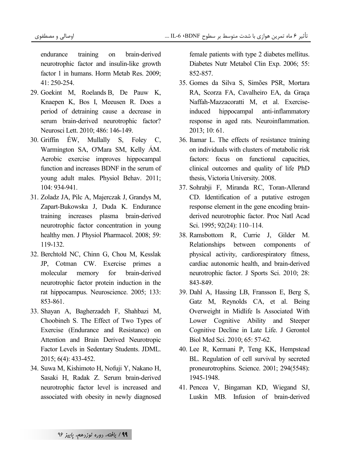endurance training on brain-derived neurotrophic factor and insulin-like growth factor 1 in humans. Horm Metab Res. 2009; 41: 250-254.

- 29. Goekint M, Roelands B, De Pauw K, Knaepen K, Bos I, Meeusen R. Does a period of detraining cause a decrease in serum brain-derived neurotrophic factor? Neurosci Lett. 2010; 486: 146-149.
- 30. Griffin ÉW, Mullally S, Foley C, Warmington SA, O'Mara SM, Kelly ÁM. Aerobic exercise improves hippocampal function and increases BDNF in the serum of young adult males. Physiol Behav. 2011; 104: 934-941.
- 31. Zoladz JA, Pilc A, Majerczak J, Grandys M, Zapart-Bukowska J, Duda K. Endurance training increases plasma brain-derived neurotrophic factor concentration in young healthy men. J Physiol Pharmacol. 2008; 59: 119-132.
- 32. Berchtold NC, Chinn G, Chou M, Kesslak JP, Cotman CW. Exercise primes a molecular memory for brain-derived neurotrophic factor protein induction in the rat hippocampus. Neuroscience. 2005; 133: 853-861.
- 33. Shayan A, Bagherzadeh F, Shahbazi M, Choobineh S. The Effect of Two Types of Exercise (Endurance and Resistance) on Attention and Brain Derived Neurotropic Factor Levels in Sedentary Students. JDML. 2015; 6(4): 433-452.
- 34. Suwa M, Kishimoto H, Nofuji Y, Nakano H, Sasaki H, Radak Z. Serum brain-derived neurotrophic factor level is increased and associated with obesity in newly diagnosed

female patients with type 2 diabetes mellitus. Diabetes Nutr Metabol Clin Exp. 2006; 55: 852-857.

- 35. Gomes da Silva S, Simões PSR, Mortara RA, Scorza FA, Cavalheiro EA, da Graça Naffah-Mazzacoratti M, et al. Exerciseinduced hippocampal anti-inflammatory response in aged rats. Neuroinflammation. 2013; 10: 61.
- 36. Itamar L. The effects of resistance training on individuals with clusters of metabolic risk factors: focus on functional capacities, clinical outcomes and quality of life PhD thesis, Victoria University. 2008.
- 37. Sohrabji F, Miranda RC, Toran-Allerand CD. Identification of a putative estrogen response element in the gene encoding brainderived neurotrophic factor. Proc Natl Acad Sci. 1995; 92(24): 110–114.
- 38. Ramsbottom R, Currie J, Gilder M. Relationships between components of physical activity, cardiorespiratory fitness, cardiac autonomic health, and brain-derived neurotrophic factor. J Sports Sci. 2010; 28: 843-849.
- 39. Dahl A, Hassing LB, Fransson E, Berg S, Gatz M, Reynolds CA, et al. Being Overweight in Midlife Is Associated With Lower Cognitive Ability and Steeper Cognitive Decline in Late Life. J Gerontol Biol Med Sci. 2010; 65: 57-62.
- 40. Lee R, Kermani P, Teng KK, Hempstead BL. Regulation of cell survival by secreted proneurotrophins. Science. 2001; 294(5548): 1945-1948.
- 41. Pencea V, Bingaman KD, Wiegand SJ, Luskin MB. Infusion of brain-derived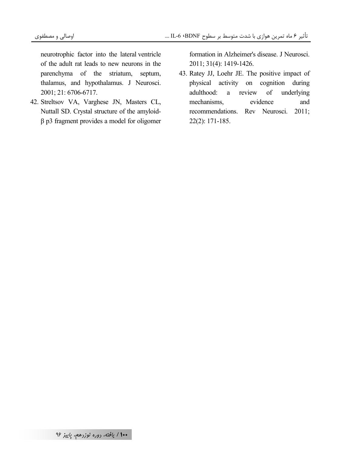neurotrophic factor into the lateral ventricle of the adult rat leads to new neurons in the parenchyma of the striatum, septum, thalamus, and hypothalamus. J Neurosci. 2001; 21: 6706-6717.

42. Streltsov VA, Varghese JN, Masters CL, Nuttall SD. Crystal structure of the amyloid- $\beta$  p3 fragment provides a model for oligomer formation in Alzheimer's disease. J Neurosci. 2011; 31(4): 1419-1426.

43. Ratey JJ, Loehr JE. The positive impact of physical activity on cognition during review adulthood:  $\mathbf{a}$ of underlying mechanisms evidence and recommendations. Rev Neurosci. 2011;  $22(2): 171-185.$